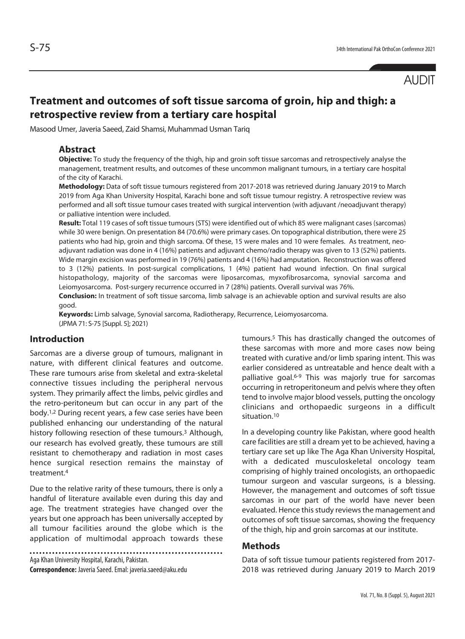# **Treatment and outcomes of soft tissue sarcoma of groin, hip and thigh: a retrospective review from a tertiary care hospital**

Masood Umer, Javeria Saeed, Zaid Shamsi, Muhammad Usman Tariq

### **Abstract**

**Objective:** To study the frequency of the thigh, hip and groin soft tissue sarcomas and retrospectively analyse the management, treatment results, and outcomes of these uncommon malignant tumours, in a tertiary care hospital of the city of Karachi.

**Methodology:** Data of soft tissue tumours registered from 2017-2018 was retrieved during January 2019 to March 2019 from Aga Khan University Hospital, Karachi bone and soft tissue tumour registry. A retrospective review was performed and all soft tissue tumour cases treated with surgical intervention (with adjuvant /neoadjuvant therapy) or palliative intention were included.

**Result:** Total 119 cases of soft tissue tumours (STS) were identified out of which 85 were malignant cases (sarcomas) while 30 were benign. On presentation 84 (70.6%) were primary cases. On topographical distribution, there were 25 patients who had hip, groin and thigh sarcoma. Of these, 15 were males and 10 were females. As treatment, neoadjuvant radiation was done in 4 (16%) patients and adjuvant chemo/radio therapy was given to 13 (52%) patients. Wide margin excision was performed in 19 (76%) patients and 4 (16%) had amputation. Reconstruction was offered to 3 (12%) patients. In post-surgical complications, 1 (4%) patient had wound infection. On final surgical histopathology, majority of the sarcomas were liposarcomas, myxofibrosarcoma, synovial sarcoma and Leiomyosarcoma. Post-surgery recurrence occurred in 7 (28%) patients. Overall survival was 76%.

**Conclusion:** In treatment of soft tissue sarcoma, limb salvage is an achievable option and survival results are also good.

**Keywords:** Limb salvage, Synovial sarcoma, Radiotherapy, Recurrence, Leiomyosarcoma. (JPMA 71: S-75 [Suppl. 5]; 2021)

### **Introduction**

Sarcomas are a diverse group of tumours, malignant in nature, with different clinical features and outcome. These rare tumours arise from skeletal and extra-skeletal connective tissues including the peripheral nervous system. They primarily affect the limbs, pelvic girdles and the retro-peritoneum but can occur in any part of the body.1,2 During recent years, a few case series have been published enhancing our understanding of the natural history following resection of these tumours.3 Although, our research has evolved greatly, these tumours are still resistant to chemotherapy and radiation in most cases hence surgical resection remains the mainstay of treatment.4

Due to the relative rarity of these tumours, there is only a handful of literature available even during this day and age. The treatment strategies have changed over the years but one approach has been universally accepted by all tumour facilities around the globe which is the application of multimodal approach towards these

Aga Khan University Hospital, Karachi, Pakistan.

**Correspondence:** Javeria Saeed. Emal: javeria.saeed@aku.edu

tumours.5 This has drastically changed the outcomes of these sarcomas with more and more cases now being treated with curative and/or limb sparing intent. This was earlier considered as untreatable and hence dealt with a palliative goal.<sup>6-9</sup> This was majorly true for sarcomas occurring in retroperitoneum and pelvis where they often tend to involve major blood vessels, putting the oncology clinicians and orthopaedic surgeons in a difficult situation.10

In a developing country like Pakistan, where good health care facilities are still a dream yet to be achieved, having a tertiary care set up like The Aga Khan University Hospital, with a dedicated musculoskeletal oncology team comprising of highly trained oncologists, an orthopaedic tumour surgeon and vascular surgeons, is a blessing. However, the management and outcomes of soft tissue sarcomas in our part of the world have never been evaluated. Hence this study reviews the management and outcomes of soft tissue sarcomas, showing the frequency of the thigh, hip and groin sarcomas at our institute.

### **Methods**

Data of soft tissue tumour patients registered from 2017- 2018 was retrieved during January 2019 to March 2019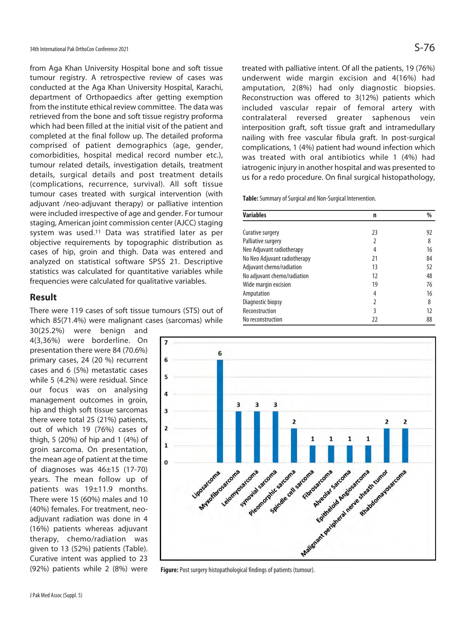from Aga Khan University Hospital bone and soft tissue tumour registry. A retrospective review of cases was conducted at the Aga Khan University Hospital, Karachi, department of Orthopaedics after getting exemption from the institute ethical review committee. The data was retrieved from the bone and soft tissue registry proforma which had been filled at the initial visit of the patient and completed at the final follow up. The detailed proforma comprised of patient demographics (age, gender, comorbidities, hospital medical record number etc.), tumour related details, investigation details, treatment details, surgical details and post treatment details (complications, recurrence, survival). All soft tissue tumour cases treated with surgical intervention (with adjuvant /neo-adjuvant therapy) or palliative intention were included irrespective of age and gender. For tumour staging, American joint commission center (AJCC) staging system was used.11 Data was stratified later as per objective requirements by topographic distribution as cases of hip, groin and thigh. Data was entered and analyzed on statistical software SPSS 21. Descriptive statistics was calculated for quantitative variables while frequencies were calculated for qualitative variables.

## **Result**

There were 119 cases of soft tissue tumours (STS) out of which 85(71.4%) were malignant cases (sarcomas) while

30(25.2%) were benign and 4(3,36%) were borderline. On presentation there were 84 (70.6%) primary cases, 24 (20 %) recurrent cases and 6 (5%) metastatic cases while 5 (4.2%) were residual. Since our focus was on analysing management outcomes in groin, hip and thigh soft tissue sarcomas there were total 25 (21%) patients, out of which 19 (76%) cases of thigh, 5 (20%) of hip and 1 (4%) of groin sarcoma. On presentation, the mean age of patient at the time of diagnoses was 46±15 (17-70) years. The mean follow up of patients was 19±11.9 months. There were 15 (60%) males and 10 (40%) females. For treatment, neoadjuvant radiation was done in 4 (16%) patients whereas adjuvant therapy, chemo/radiation was given to 13 (52%) patients (Table). Curative intent was applied to 23 (92%) patients while 2 (8%) were

treated with palliative intent. Of all the patients, 19 (76%) underwent wide margin excision and 4(16%) had amputation, 2(8%) had only diagnostic biopsies. Reconstruction was offered to 3(12%) patients which included vascular repair of femoral artery with contralateral reversed greater saphenous vein interposition graft, soft tissue graft and intramedullary nailing with free vascular fibula graft. In post-surgical complications, 1 (4%) patient had wound infection which was treated with oral antibiotics while 1 (4%) had iatrogenic injury in another hospital and was presented to us for a redo procedure. On final surgical histopathology,

**Table:** Summary of Surgical and Non-Surgical Intervention.

| <b>Variables</b>             | n             | %  |
|------------------------------|---------------|----|
|                              |               |    |
| Curative surgery             | 23            | 92 |
| Palliative surgery           | 2             | 8  |
| Neo Adjuvant radiotherapy    | 4             | 16 |
| No Neo Adjuvant radiotherapy | 21            | 84 |
| Adjuvant chemo/radiation     | 13            | 52 |
| No adjuvant chemo/radiation  | 12            | 48 |
| Wide margin excision         | 19            | 76 |
| Amputation                   | 4             | 16 |
| Diagnostic biopsy            | $\mathfrak z$ | 8  |
| Reconstruction               | 3             | 12 |
| No reconstruction            | 22            | 88 |

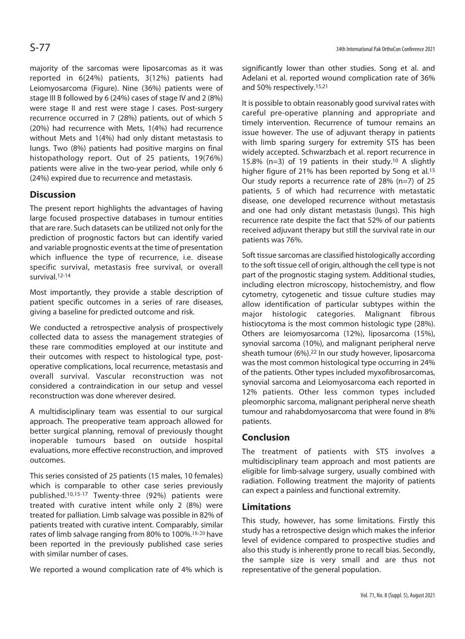majority of the sarcomas were liposarcomas as it was reported in 6(24%) patients, 3(12%) patients had Leiomyosarcoma (Figure). Nine (36%) patients were of stage III B followed by 6 (24%) cases of stage IV and 2 (8%) were stage II and rest were stage I cases. Post-surgery recurrence occurred in 7 (28%) patients, out of which 5 (20%) had recurrence with Mets, 1(4%) had recurrence without Mets and 1(4%) had only distant metastasis to lungs. Two (8%) patients had positive margins on final histopathology report. Out of 25 patients, 19(76%) patients were alive in the two-year period, while only 6 (24%) expired due to recurrence and metastasis.

## **Discussion**

The present report highlights the advantages of having large focused prospective databases in tumour entities that are rare. Such datasets can be utilized not only for the prediction of prognostic factors but can identify varied and variable prognostic events at the time of presentation which influence the type of recurrence, i.e. disease specific survival, metastasis free survival, or overall survival.12-14

Most importantly, they provide a stable description of patient specific outcomes in a series of rare diseases, giving a baseline for predicted outcome and risk.

We conducted a retrospective analysis of prospectively collected data to assess the management strategies of these rare commodities employed at our institute and their outcomes with respect to histological type, postoperative complications, local recurrence, metastasis and overall survival. Vascular reconstruction was not considered a contraindication in our setup and vessel reconstruction was done wherever desired.

A multidisciplinary team was essential to our surgical approach. The preoperative team approach allowed for better surgical planning, removal of previously thought inoperable tumours based on outside hospital evaluations, more effective reconstruction, and improved outcomes.

This series consisted of 25 patients (15 males, 10 females) which is comparable to other case series previously published.10,15-17 Twenty-three (92%) patients were treated with curative intent while only 2 (8%) were treated for palliation. Limb salvage was possible in 82% of patients treated with curative intent. Comparably, similar rates of limb salvage ranging from 80% to 100%.18-20 have been reported in the previously published case series with similar number of cases.

We reported a wound complication rate of 4% which is

significantly lower than other studies. Song et al. and Adelani et al. reported wound complication rate of 36% and 50% respectively.15,21

It is possible to obtain reasonably good survival rates with careful pre-operative planning and appropriate and timely intervention. Recurrence of tumour remains an issue however. The use of adjuvant therapy in patients with limb sparing surgery for extremity STS has been widely accepted. Schwarzbach et al. report recurrence in 15.8% (n=3) of 19 patients in their study.10 A slightly higher figure of 21% has been reported by Song et al.<sup>15</sup> Our study reports a recurrence rate of 28% (n=7) of 25 patients, 5 of which had recurrence with metastatic disease, one developed recurrence without metastasis and one had only distant metastasis (lungs). This high recurrence rate despite the fact that 52% of our patients received adjuvant therapy but still the survival rate in our patients was 76%.

Soft tissue sarcomas are classified histologically according to the soft tissue cell of origin, although the cell type is not part of the prognostic staging system. Additional studies, including electron microscopy, histochemistry, and flow cytometry, cytogenetic and tissue culture studies may allow identification of particular subtypes within the major histologic categories. Malignant fibrous histiocytoma is the most common histologic type (28%). Others are leiomyosarcoma (12%), liposarcoma (15%), synovial sarcoma (10%), and malignant peripheral nerve sheath tumour (6%).22 In our study however, liposarcoma was the most common histological type occurring in 24% of the patients. Other types included myxofibrosarcomas, synovial sarcoma and Leiomyosarcoma each reported in 12% patients. Other less common types included pleomorphic sarcoma, malignant peripheral nerve sheath tumour and rahabdomyosarcoma that were found in 8% patients.

## **Conclusion**

The treatment of patients with STS involves a multidisciplinary team approach and most patients are eligible for limb-salvage surgery, usually combined with radiation. Following treatment the majority of patients can expect a painless and functional extremity.

## **Limitations**

This study, however, has some limitations. Firstly this study has a retrospective design which makes the inferior level of evidence compared to prospective studies and also this study is inherently prone to recall bias. Secondly, the sample size is very small and are thus not representative of the general population.